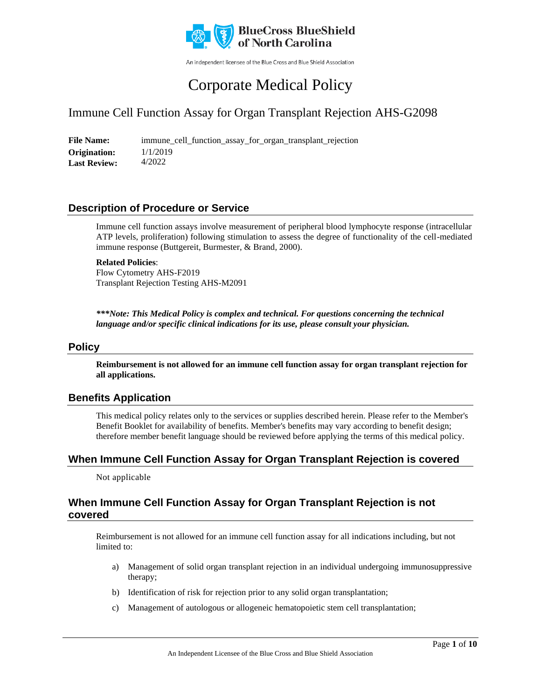

An independent licensee of the Blue Cross and Blue Shield Association

# Corporate Medical Policy

# Immune Cell Function Assay for Organ Transplant Rejection AHS-G2098

**File Name:** immune\_cell\_function\_assay\_for\_organ\_transplant\_rejection 1/1/2019 4/2022 **Origination: Last Review:**

### **Description of Procedure or Service**

Immune cell function assays involve measurement of peripheral blood lymphocyte response (intracellular ATP levels, proliferation) following stimulation to assess the degree of functionality of the cell-mediated immune response (Buttgereit, Burmester, & Brand, 2000).

#### **Related Policies**:

Flow Cytometry AHS-F2019 Transplant Rejection Testing AHS-M2091

*\*\*\*Note: This Medical Policy is complex and technical. For questions concerning the technical language and/or specific clinical indications for its use, please consult your physician.*

#### **Policy**

**Reimbursement is not allowed for an immune cell function assay for organ transplant rejection for all applications.** 

### **Benefits Application**

This medical policy relates only to the services or supplies described herein. Please refer to the Member's Benefit Booklet for availability of benefits. Member's benefits may vary according to benefit design; therefore member benefit language should be reviewed before applying the terms of this medical policy.

### **When Immune Cell Function Assay for Organ Transplant Rejection is covered**

Not applicable

### **When Immune Cell Function Assay for Organ Transplant Rejection is not covered**

Reimbursement is not allowed for an immune cell function assay for all indications including, but not limited to:

- a) Management of solid organ transplant rejection in an individual undergoing immunosuppressive therapy;
- b) Identification of risk for rejection prior to any solid organ transplantation;
- c) Management of autologous or allogeneic hematopoietic stem cell transplantation;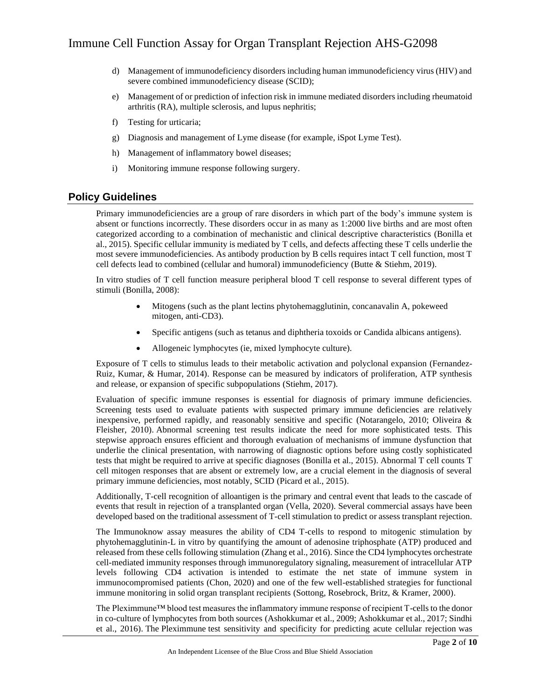- d) Management of immunodeficiency disorders including human immunodeficiency virus (HIV) and severe combined immunodeficiency disease (SCID);
- e) Management of or prediction of infection risk in immune mediated disorders including rheumatoid arthritis (RA), multiple sclerosis, and lupus nephritis;
- f) Testing for urticaria;
- g) Diagnosis and management of Lyme disease (for example, iSpot Lyme Test).
- h) Management of inflammatory bowel diseases;
- i) Monitoring immune response following surgery.

### **Policy Guidelines**

Primary immunodeficiencies are a group of rare disorders in which part of the body's immune system is absent or functions incorrectly. These disorders occur in as many as 1:2000 live births and are most often categorized according to a combination of mechanistic and clinical descriptive characteristics (Bonilla et al., 2015). Specific cellular immunity is mediated by T cells, and defects affecting these T cells underlie the most severe immunodeficiencies. As antibody production by B cells requires intact T cell function, most T cell defects lead to combined (cellular and humoral) immunodeficiency (Butte & Stiehm, 2019).

In vitro studies of T cell function measure peripheral blood T cell response to several different types of stimuli (Bonilla, 2008):

- Mitogens (such as the plant lectins phytohemagglutinin, concanavalin A, pokeweed mitogen, anti-CD3).
- Specific antigens (such as tetanus and diphtheria toxoids or Candida albicans antigens).
- Allogeneic lymphocytes (ie, mixed lymphocyte culture).

Exposure of T cells to stimulus leads to their metabolic activation and polyclonal expansion (Fernandez-Ruiz, Kumar, & Humar, 2014). Response can be measured by indicators of proliferation, ATP synthesis and release, or expansion of specific subpopulations (Stiehm, 2017).

Evaluation of specific immune responses is essential for diagnosis of primary immune deficiencies. Screening tests used to evaluate patients with suspected primary immune deficiencies are relatively inexpensive, performed rapidly, and reasonably sensitive and specific (Notarangelo, 2010; Oliveira & Fleisher, 2010). Abnormal screening test results indicate the need for more sophisticated tests. This stepwise approach ensures efficient and thorough evaluation of mechanisms of immune dysfunction that underlie the clinical presentation, with narrowing of diagnostic options before using costly sophisticated tests that might be required to arrive at specific diagnoses (Bonilla et al., 2015). Abnormal T cell counts T cell mitogen responses that are absent or extremely low, are a crucial element in the diagnosis of several primary immune deficiencies, most notably, SCID (Picard et al., 2015).

Additionally, T-cell recognition of alloantigen is the primary and central event that leads to the cascade of events that result in rejection of a transplanted organ (Vella, 2020). Several commercial assays have been developed based on the traditional assessment of T-cell stimulation to predict or assess transplant rejection.

The Immunoknow assay measures the ability of CD4 T-cells to respond to mitogenic stimulation by phytohemagglutinin-L in vitro by quantifying the amount of adenosine triphosphate (ATP) produced and released from these cells following stimulation (Zhang et al., 2016). Since the CD4 lymphocytes orchestrate cell-mediated immunity responses through immunoregulatory signaling, measurement of intracellular ATP levels following CD4 activation is intended to estimate the net state of immune system in immunocompromised patients (Chon, 2020) and one of the few well-established strategies for functional immune monitoring in solid organ transplant recipients (Sottong, Rosebrock, Britz, & Kramer, 2000).

The Pleximmune™ blood test measures the inflammatory immune response of recipient T-cells to the donor in co-culture of lymphocytes from both sources (Ashokkumar et al., 2009; Ashokkumar et al., 2017; Sindhi et al., 2016). The Pleximmune test sensitivity and specificity for predicting acute cellular rejection was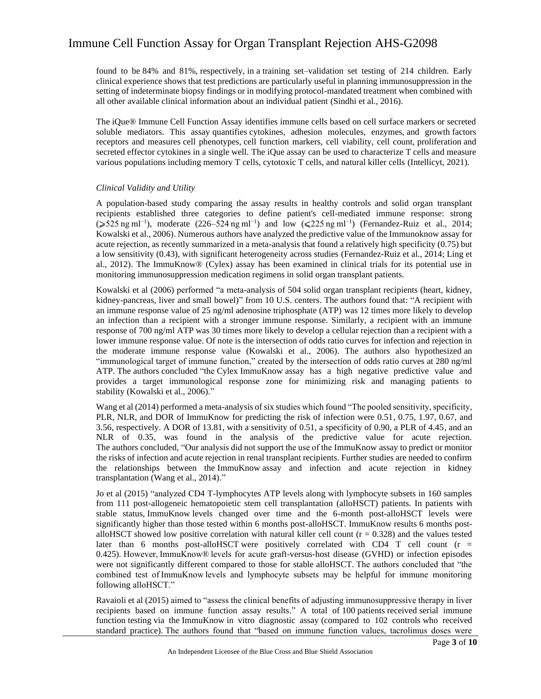found to be 84% and 81%, respectively, in a training set–validation set testing of 214 children. Early clinical experience shows that test predictions are particularly useful in planning immunosuppression in the setting of indeterminate biopsy findings or in modifying protocol-mandated treatment when combined with all other available clinical information about an individual patient (Sindhi et al., 2016).

The iQue® Immune Cell Function Assay identifies immune cells based on cell surface markers or secreted soluble mediators. This assay quantifies cytokines, adhesion molecules, enzymes, and growth factors receptors and measures cell phenotypes, cell function markers, cell viability, cell count, proliferation and secreted effector cytokines in a single well. The iQue assay can be used to characterize T cells and measure various populations including memory T cells, cytotoxic T cells, and natural killer cells (Intellicyt, 2021).

#### *Clinical Validity and Utility*

A population-based study comparing the assay results in healthy controls and solid organ transplant recipients established three categories to define patient's cell-mediated immune response: strong ( $\geq 525$  ng ml<sup>-1</sup>), moderate (226–524 ng ml<sup>-1</sup>) and low (≤225 ng ml<sup>-1</sup>) (Fernandez-Ruiz et al., 2014; Kowalski et al., 2006). Numerous authors have analyzed the predictive value of the Immunoknow assay for acute rejection, as recently summarized in a meta-analysis that found a relatively high specificity (0.75) but a low sensitivity (0.43), with significant heterogeneity across studies (Fernandez-Ruiz et al., 2014; Ling et al., 2012). The ImmuKnow® (Cylex) assay has been examined in clinical trials for its potential use in monitoring immunosuppression medication regimens in solid organ transplant patients.

Kowalski et al (2006) performed "a meta-analysis of 504 solid organ transplant recipients (heart, kidney, kidney-pancreas, liver and small bowel)" from 10 U.S. centers. The authors found that: "A recipient with an immune response value of 25 ng/ml adenosine triphosphate (ATP) was 12 times more likely to develop an infection than a recipient with a stronger immune response. Similarly, a recipient with an immune response of 700 ng/ml ATP was 30 times more likely to develop a cellular rejection than a recipient with a lower immune response value. Of note is the intersection of odds ratio curves for infection and rejection in the moderate immune response value (Kowalski et al., 2006). The authors also hypothesized an "immunological target of immune function," created by the intersection of odds ratio curves at 280 ng/ml ATP. The authors concluded "the Cylex ImmuKnow assay has a high negative predictive value and provides a target immunological response zone for minimizing risk and managing patients to stability (Kowalski et al., 2006)."

Wang et al (2014) performed a meta-analysis of six studies which found "The pooled sensitivity, specificity, PLR, NLR, and DOR of ImmuKnow for predicting the risk of infection were 0.51, 0.75, 1.97, 0.67, and 3.56, respectively. A DOR of 13.81, with a sensitivity of 0.51, a specificity of 0.90, a PLR of 4.45, and an NLR of 0.35, was found in the analysis of the predictive value for acute rejection. The authors concluded, "Our analysis did not support the use of the ImmuKnow assay to predict or monitor the risks of infection and acute rejection in renal transplant recipients. Further studies are needed to confirm the relationships between the ImmuKnow assay and infection and acute rejection in kidney transplantation (Wang et al., 2014)."

Jo et al (2015) "analyzed CD4 T-lymphocytes ATP levels along with lymphocyte subsets in 160 samples from 111 post-allogeneic hematopoietic stem cell transplantation (alloHSCT) patients. In patients with stable status, ImmuKnow levels changed over time and the 6-month post-alloHSCT levels were significantly higher than those tested within 6 months post-alloHSCT. ImmuKnow results 6 months postalloHSCT showed low positive correlation with natural killer cell count  $(r = 0.328)$  and the values tested later than 6 months post-alloHSCT were positively correlated with CD4 T cell count (r = 0.425). However, ImmuKnow® levels for acute graft-versus-host disease (GVHD) or infection episodes were not significantly different compared to those for stable alloHSCT. The authors concluded that "the combined test of ImmuKnow levels and lymphocyte subsets may be helpful for immune monitoring following alloHSCT."

Ravaioli et al (2015) aimed to "assess the clinical benefits of adjusting immunosuppressive therapy in liver recipients based on immune function assay results." A total of 100 patients received serial immune function testing via the ImmuKnow in vitro diagnostic assay (compared to 102 controls who received standard practice). The authors found that "based on immune function values, tacrolimus doses were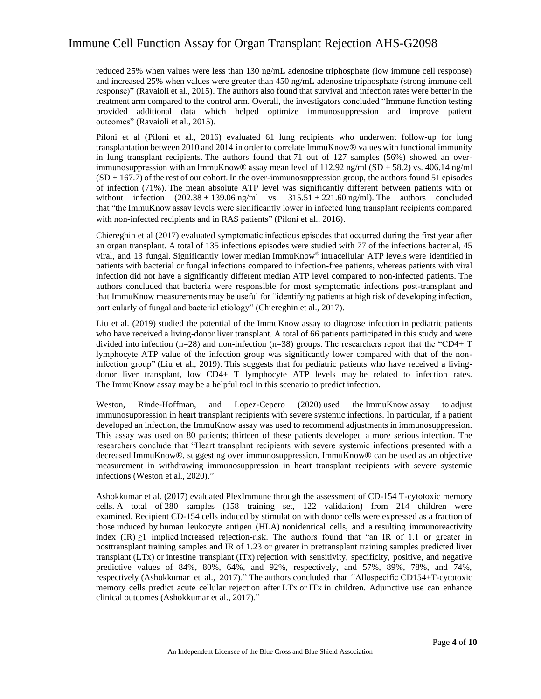reduced 25% when values were less than 130 ng/mL adenosine triphosphate (low immune cell response) and increased 25% when values were greater than 450 ng/mL adenosine triphosphate (strong immune cell response)" (Ravaioli et al., 2015). The authors also found that survival and infection rates were better in the treatment arm compared to the control arm. Overall, the investigators concluded "Immune function testing provided additional data which helped optimize immunosuppression and improve patient outcomes" (Ravaioli et al., 2015).

Piloni et al (Piloni et al., 2016) evaluated 61 lung recipients who underwent follow-up for lung transplantation between 2010 and 2014 in order to correlate ImmuKnow® values with functional immunity in lung transplant recipients. The authors found that 71 out of 127 samples (56%) showed an overimmunosuppression with an ImmuKnow® assay mean level of  $112.92$  ng/ml (SD  $\pm$  58.2) vs. 406.14 ng/ml  $(SD \pm 167.7)$  of the rest of our cohort. In the over-immunosuppression group, the authors found 51 episodes of infection (71%). The mean absolute ATP level was significantly different between patients with or without infection  $(202.38 \pm 139.06 \text{ ng/ml} \text{ vs. } 315.51 \pm 221.60 \text{ ng/ml})$ . The authors concluded that "the ImmuKnow assay levels were significantly lower in infected lung transplant recipients compared with non-infected recipients and in RAS patients" (Piloni et al., 2016).

Chiereghin et al (2017) evaluated symptomatic infectious episodes that occurred during the first year after an organ transplant. A total of 135 infectious episodes were studied with 77 of the infections bacterial, 45 viral, and 13 fungal. Significantly lower median ImmuKnow® intracellular ATP levels were identified in patients with bacterial or fungal infections compared to infection-free patients, whereas patients with viral infection did not have a significantly different median ATP level compared to non-infected patients. The authors concluded that bacteria were responsible for most symptomatic infections post-transplant and that ImmuKnow measurements may be useful for "identifying patients at high risk of developing infection, particularly of fungal and bacterial etiology" (Chiereghin et al., 2017).

Liu et al. (2019) studied the potential of the ImmuKnow assay to diagnose infection in pediatric patients who have received a living-donor liver transplant. A total of 66 patients participated in this study and were divided into infection (n=28) and non-infection (n=38) groups. The researchers report that the "CD4+ T lymphocyte ATP value of the infection group was significantly lower compared with that of the noninfection group" (Liu et al., 2019). This suggests that for pediatric patients who have received a livingdonor liver transplant, low CD4+ T lymphocyte ATP levels may be related to infection rates. The ImmuKnow assay may be a helpful tool in this scenario to predict infection.

Weston, Rinde-Hoffman, and Lopez-Cepero (2020) used the ImmuKnow assay to adjust immunosuppression in heart transplant recipients with severe systemic infections. In particular, if a patient developed an infection, the ImmuKnow assay was used to recommend adjustments in immunosuppression. This assay was used on 80 patients; thirteen of these patients developed a more serious infection. The researchers conclude that "Heart transplant recipients with severe systemic infections presented with a decreased ImmuKnow®, suggesting over immunosuppression. ImmuKnow® can be used as an objective measurement in withdrawing immunosuppression in heart transplant recipients with severe systemic infections (Weston et al., 2020)."

Ashokkumar et al. (2017) evaluated PlexImmune through the assessment of CD-154 T-cytotoxic memory cells. A total of 280 samples (158 training set, 122 validation) from 214 children were examined. Recipient CD-154 cells induced by stimulation with donor cells were expressed as a fraction of those induced by human leukocyte antigen (HLA) nonidentical cells, and a resulting immunoreactivity index  $(IR) \ge 1$  implied increased rejection-risk. The authors found that "an IR of 1.1 or greater in posttransplant training samples and IR of 1.23 or greater in pretransplant training samples predicted liver transplant (LTx) or intestine transplant (ITx) rejection with sensitivity, specificity, positive, and negative predictive values of 84%, 80%, 64%, and 92%, respectively, and 57%, 89%, 78%, and 74%, respectively (Ashokkumar et al., 2017)." The authors concluded that "Allospecific CD154+T-cytotoxic memory cells predict acute cellular rejection after LTx or ITx in children. Adjunctive use can enhance clinical outcomes (Ashokkumar et al., 2017)."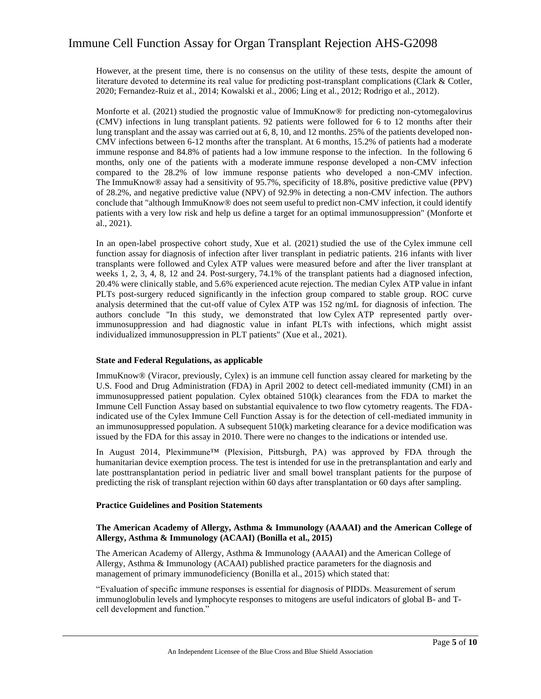However, at the present time, there is no consensus on the utility of these tests, despite the amount of literature devoted to determine its real value for predicting post-transplant complications (Clark & Cotler, 2020; Fernandez-Ruiz et al., 2014; Kowalski et al., 2006; Ling et al., 2012; Rodrigo et al., 2012).

Monforte et al. (2021) studied the prognostic value of ImmuKnow® for predicting non-cytomegalovirus (CMV) infections in lung transplant patients. 92 patients were followed for 6 to 12 months after their lung transplant and the assay was carried out at 6, 8, 10, and 12 months. 25% of the patients developed non-CMV infections between 6-12 months after the transplant. At 6 months, 15.2% of patients had a moderate immune response and 84.8% of patients had a low immune response to the infection. In the following 6 months, only one of the patients with a moderate immune response developed a non-CMV infection compared to the 28.2% of low immune response patients who developed a non-CMV infection. The ImmuKnow® assay had a sensitivity of 95.7%, specificity of 18.8%, positive predictive value (PPV) of 28.2%, and negative predictive value (NPV) of 92.9% in detecting a non-CMV infection. The authors conclude that "although ImmuKnow® does not seem useful to predict non-CMV infection, it could identify patients with a very low risk and help us define a target for an optimal immunosuppression" (Monforte et al., 2021).

In an open-label prospective cohort study, Xue et al. (2021) studied the use of the Cylex immune cell function assay for diagnosis of infection after liver transplant in pediatric patients. 216 infants with liver transplants were followed and Cylex ATP values were measured before and after the liver transplant at weeks 1, 2, 3, 4, 8, 12 and 24. Post-surgery, 74.1% of the transplant patients had a diagnosed infection, 20.4% were clinically stable, and 5.6% experienced acute rejection. The median Cylex ATP value in infant PLTs post-surgery reduced significantly in the infection group compared to stable group. ROC curve analysis determined that the cut-off value of Cylex ATP was 152 ng/mL for diagnosis of infection. The authors conclude "In this study, we demonstrated that low Cylex ATP represented partly overimmunosuppression and had diagnostic value in infant PLTs with infections, which might assist individualized immunosuppression in PLT patients" (Xue et al., 2021).

#### **State and Federal Regulations, as applicable**

ImmuKnow® (Viracor, previously, Cylex) is an immune cell function assay cleared for marketing by the U.S. Food and Drug Administration (FDA) in April 2002 to detect cell-mediated immunity (CMI) in an immunosuppressed patient population. Cylex obtained 510(k) clearances from the FDA to market the Immune Cell Function Assay based on substantial equivalence to two flow cytometry reagents. The FDAindicated use of the Cylex Immune Cell Function Assay is for the detection of cell-mediated immunity in an immunosuppressed population. A subsequent 510(k) marketing clearance for a device modification was issued by the FDA for this assay in 2010. There were no changes to the indications or intended use.

In August 2014, Pleximmune™ (Plexision, Pittsburgh, PA) was approved by FDA through the humanitarian device exemption process. The test is intended for use in the pretransplantation and early and late posttransplantation period in pediatric liver and small bowel transplant patients for the purpose of predicting the risk of transplant rejection within 60 days after transplantation or 60 days after sampling.

#### **Practice Guidelines and Position Statements**

#### **The American Academy of Allergy, Asthma & Immunology (AAAAI) and the American College of Allergy, Asthma & Immunology (ACAAI) (Bonilla et al., 2015)**

The American Academy of Allergy, Asthma & Immunology (AAAAI) and the American College of Allergy, Asthma & Immunology (ACAAI) published practice parameters for the diagnosis and management of primary immunodeficiency (Bonilla et al., 2015) which stated that:

"Evaluation of specific immune responses is essential for diagnosis of PIDDs. Measurement of serum immunoglobulin levels and lymphocyte responses to mitogens are useful indicators of global B- and Tcell development and function."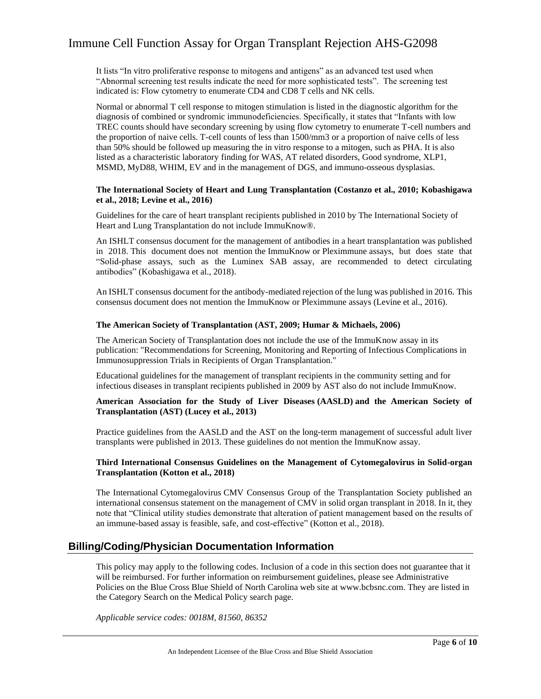It lists "In vitro proliferative response to mitogens and antigens" as an advanced test used when "Abnormal screening test results indicate the need for more sophisticated tests". The screening test indicated is: Flow cytometry to enumerate CD4 and CD8 T cells and NK cells.

Normal or abnormal T cell response to mitogen stimulation is listed in the diagnostic algorithm for the diagnosis of combined or syndromic immunodeficiencies. Specifically, it states that "Infants with low TREC counts should have secondary screening by using flow cytometry to enumerate T-cell numbers and the proportion of naive cells. T-cell counts of less than 1500/mm3 or a proportion of naive cells of less than 50% should be followed up measuring the in vitro response to a mitogen, such as PHA. It is also listed as a characteristic laboratory finding for WAS, AT related disorders, Good syndrome, XLP1, MSMD, MyD88, WHIM, EV and in the management of DGS, and immuno-osseous dysplasias.

#### **The International Society of Heart and Lung Transplantation (Costanzo et al., 2010; Kobashigawa et al., 2018; Levine et al., 2016)**

Guidelines for the care of heart transplant recipients published in 2010 by The International Society of Heart and Lung Transplantation do not include ImmuKnow®.

An ISHLT consensus document for the management of antibodies in a heart transplantation was published in 2018. This document does not mention the ImmuKnow or Pleximmune assays, but does state that "Solid-phase assays, such as the Luminex SAB assay, are recommended to detect circulating antibodies" (Kobashigawa et al., 2018).

An ISHLT consensus document for the antibody-mediated rejection of the lung was published in 2016. This consensus document does not mention the ImmuKnow or Pleximmune assays (Levine et al., 2016).

#### **The American Society of Transplantation (AST, 2009; Humar & Michaels, 2006)**

The American Society of Transplantation does not include the use of the ImmuKnow assay in its publication: "Recommendations for Screening, Monitoring and Reporting of Infectious Complications in Immunosuppression Trials in Recipients of Organ Transplantation."

Educational guidelines for the management of transplant recipients in the community setting and for infectious diseases in transplant recipients published in 2009 by AST also do not include ImmuKnow.

#### **American Association for the Study of Liver Diseases (AASLD) and the American Society of Transplantation (AST) (Lucey et al., 2013)**

Practice guidelines from the AASLD and the AST on the long-term management of successful adult liver transplants were published in 2013. These guidelines do not mention the ImmuKnow assay.

#### **Third International Consensus Guidelines on the Management of Cytomegalovirus in Solid-organ Transplantation (Kotton et al., 2018)**

The International Cytomegalovirus CMV Consensus Group of the Transplantation Society published an international consensus statement on the management of CMV in solid organ transplant in 2018. In it, they note that "Clinical utility studies demonstrate that alteration of patient management based on the results of an immune-based assay is feasible, safe, and cost-effective" (Kotton et al., 2018).

### **Billing/Coding/Physician Documentation Information**

This policy may apply to the following codes. Inclusion of a code in this section does not guarantee that it will be reimbursed. For further information on reimbursement guidelines, please see Administrative Policies on the Blue Cross Blue Shield of North Carolina web site at www.bcbsnc.com. They are listed in the Category Search on the Medical Policy search page.

*Applicable service codes: 0018M, 81560, 86352*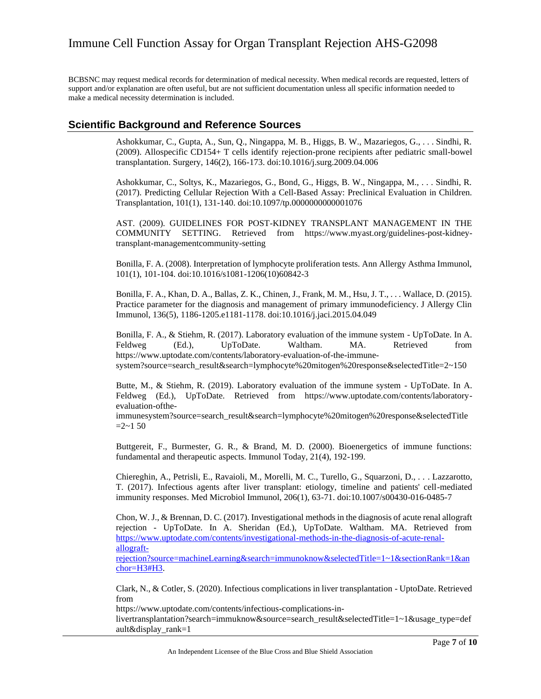BCBSNC may request medical records for determination of medical necessity. When medical records are requested, letters of support and/or explanation are often useful, but are not sufficient documentation unless all specific information needed to make a medical necessity determination is included.

### **Scientific Background and Reference Sources**

Ashokkumar, C., Gupta, A., Sun, Q., Ningappa, M. B., Higgs, B. W., Mazariegos, G., . . . Sindhi, R. (2009). Allospecific CD154+ T cells identify rejection-prone recipients after pediatric small-bowel transplantation. Surgery, 146(2), 166-173. doi:10.1016/j.surg.2009.04.006

Ashokkumar, C., Soltys, K., Mazariegos, G., Bond, G., Higgs, B. W., Ningappa, M., . . . Sindhi, R. (2017). Predicting Cellular Rejection With a Cell-Based Assay: Preclinical Evaluation in Children. Transplantation, 101(1), 131-140. doi:10.1097/tp.0000000000001076

AST. (2009). GUIDELINES FOR POST-KIDNEY TRANSPLANT MANAGEMENT IN THE COMMUNITY SETTING. Retrieved from https://www.myast.org/guidelines-post-kidneytransplant-managementcommunity-setting

Bonilla, F. A. (2008). Interpretation of lymphocyte proliferation tests. Ann Allergy Asthma Immunol, 101(1), 101-104. doi:10.1016/s1081-1206(10)60842-3

Bonilla, F. A., Khan, D. A., Ballas, Z. K., Chinen, J., Frank, M. M., Hsu, J. T., . . . Wallace, D. (2015). Practice parameter for the diagnosis and management of primary immunodeficiency. J Allergy Clin Immunol, 136(5), 1186-1205.e1181-1178. doi:10.1016/j.jaci.2015.04.049

Bonilla, F. A., & Stiehm, R. (2017). Laboratory evaluation of the immune system - UpToDate. In A. Feldweg (Ed.), UpToDate. Waltham. MA. Retrieved from [https://www.uptodate.com/contents/laboratory-evaluation-of-the-immune](https://www.uptodate.com/contents/laboratory-evaluation-of-the-immune-system?source=search_result&search=lymphocyte%20mitogen%20response&selectedTitle=2~150)[system?source=search\\_result&search=lymphocyte%20mitogen%20response&selectedTitle=2~150](https://www.uptodate.com/contents/laboratory-evaluation-of-the-immune-system?source=search_result&search=lymphocyte%20mitogen%20response&selectedTitle=2~150)

Butte, M., & Stiehm, R. (2019). Laboratory evaluation of the immune system - UpToDate. In A. Feldweg (Ed.), UpToDate. Retrieved from https://www.uptodate.com/contents/laboratoryevaluation-ofthe-

immunesystem?source=search\_result&search=lymphocyte%20mitogen%20response&selectedTitle  $=2$ ~1 50

Buttgereit, F., Burmester, G. R., & Brand, M. D. (2000). Bioenergetics of immune functions: fundamental and therapeutic aspects. Immunol Today, 21(4), 192-199.

Chiereghin, A., Petrisli, E., Ravaioli, M., Morelli, M. C., Turello, G., Squarzoni, D., . . . Lazzarotto, T. (2017). Infectious agents after liver transplant: etiology, timeline and patients' cell-mediated immunity responses. Med Microbiol Immunol, 206(1), 63-71. doi:10.1007/s00430-016-0485-7

Chon, W. J., & Brennan, D. C. (2017). Investigational methods in the diagnosis of acute renal allograft rejection - UpToDate. In A. Sheridan (Ed.), UpToDate. Waltham. MA. Retrieved from [https://www.uptodate.com/contents/investigational-methods-in-the-diagnosis-of-acute-renal](https://www.uptodate.com/contents/investigational-methods-in-the-diagnosis-of-acute-renal-allograft-rejection?source=machineLearning&search=immunoknow&selectedTitle=1~1§ionRank=1&anchor=H3#H3)[allograft-](https://www.uptodate.com/contents/investigational-methods-in-the-diagnosis-of-acute-renal-allograft-rejection?source=machineLearning&search=immunoknow&selectedTitle=1~1§ionRank=1&anchor=H3#H3)

[rejection?source=machineLearning&search=immunoknow&selectedTitle=1~1&sectionRank=1&an](https://www.uptodate.com/contents/investigational-methods-in-the-diagnosis-of-acute-renal-allograft-rejection?source=machineLearning&search=immunoknow&selectedTitle=1~1§ionRank=1&anchor=H3#H3) [chor=H3#H3.](https://www.uptodate.com/contents/investigational-methods-in-the-diagnosis-of-acute-renal-allograft-rejection?source=machineLearning&search=immunoknow&selectedTitle=1~1§ionRank=1&anchor=H3#H3)

Clark, N., & Cotler, S. (2020). Infectious complications in liver transplantation - UptoDate. Retrieved from

https://www.uptodate.com/contents/infectious-complications-in-

livertransplantation?search=immuknow&source=search\_result&selectedTitle=1~1&usage\_type=def ault&display\_rank=1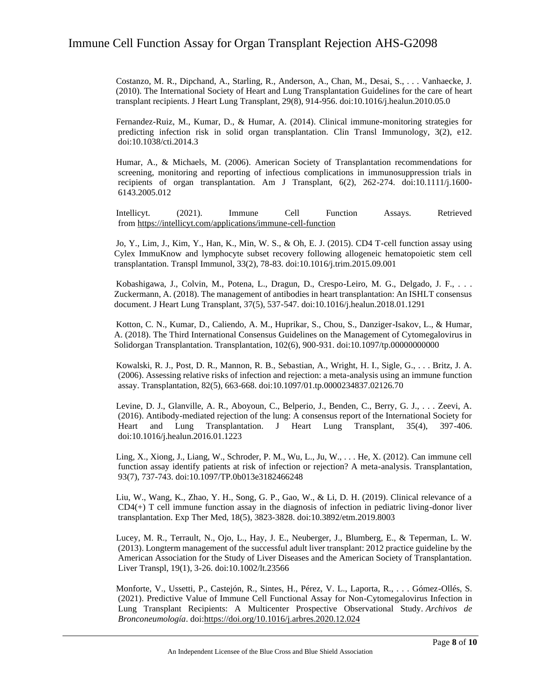Costanzo, M. R., Dipchand, A., Starling, R., Anderson, A., Chan, M., Desai, S., . . . Vanhaecke, J. (2010). The International Society of Heart and Lung Transplantation Guidelines for the care of heart transplant recipients. J Heart Lung Transplant, 29(8), 914-956. doi:10.1016/j.healun.2010.05.0

Fernandez-Ruiz, M., Kumar, D., & Humar, A. (2014). Clinical immune-monitoring strategies for predicting infection risk in solid organ transplantation. Clin Transl Immunology, 3(2), e12. doi:10.1038/cti.2014.3

Humar, A., & Michaels, M. (2006). American Society of Transplantation recommendations for screening, monitoring and reporting of infectious complications in immunosuppression trials in recipients of organ transplantation. Am J Transplant, 6(2), 262-274. doi:10.1111/j.1600- 6143.2005.012

Intellicyt. (2021). Immune Cell Function Assays. Retrieved from [https://intellicyt.com/applications/immune-cell-function](https://intellicyt.com/applications/immune-cell-function/)

Jo, Y., Lim, J., Kim, Y., Han, K., Min, W. S., & Oh, E. J. (2015). CD4 T-cell function assay using Cylex ImmuKnow and lymphocyte subset recovery following allogeneic hematopoietic stem cell transplantation. Transpl Immunol, 33(2), 78-83. doi:10.1016/j.trim.2015.09.001

Kobashigawa, J., Colvin, M., Potena, L., Dragun, D., Crespo-Leiro, M. G., Delgado, J. F., . . . Zuckermann, A. (2018). The management of antibodies in heart transplantation: An ISHLT consensus document. J Heart Lung Transplant, 37(5), 537-547. doi:10.1016/j.healun.2018.01.1291

Kotton, C. N., Kumar, D., Caliendo, A. M., Huprikar, S., Chou, S., Danziger-Isakov, L., & Humar, A. (2018). The Third International Consensus Guidelines on the Management of Cytomegalovirus in Solidorgan Transplantation. Transplantation, 102(6), 900-931. doi:10.1097/tp.00000000000

Kowalski, R. J., Post, D. R., Mannon, R. B., Sebastian, A., Wright, H. I., Sigle, G., . . . Britz, J. A. (2006). Assessing relative risks of infection and rejection: a meta-analysis using an immune function assay. Transplantation, 82(5), 663-668. doi:10.1097/01.tp.0000234837.02126.70

Levine, D. J., Glanville, A. R., Aboyoun, C., Belperio, J., Benden, C., Berry, G. J., . . . Zeevi, A. (2016). Antibody-mediated rejection of the lung: A consensus report of the International Society for Heart and Lung Transplantation. J Heart Lung Transplant, 35(4), 397-406. doi:10.1016/j.healun.2016.01.1223

Ling, X., Xiong, J., Liang, W., Schroder, P. M., Wu, L., Ju, W., . . . He, X. (2012). Can immune cell function assay identify patients at risk of infection or rejection? A meta-analysis. Transplantation, 93(7), 737-743. doi:10.1097/TP.0b013e3182466248

Liu, W., Wang, K., Zhao, Y. H., Song, G. P., Gao, W., & Li, D. H. (2019). Clinical relevance of a  $CD4(+)$  T cell immune function assay in the diagnosis of infection in pediatric living-donor liver transplantation. Exp Ther Med, 18(5), 3823-3828. doi:10.3892/etm.2019.8003

Lucey, M. R., Terrault, N., Ojo, L., Hay, J. E., Neuberger, J., Blumberg, E., & Teperman, L. W. (2013). Longterm management of the successful adult liver transplant: 2012 practice guideline by the American Association for the Study of Liver Diseases and the American Society of Transplantation. Liver Transpl, 19(1), 3-26. doi:10.1002/lt.23566

Monforte, V., Ussetti, P., Castejón, R., Sintes, H., Pérez, V. L., Laporta, R., . . . Gómez-Ollés, S. (2021). Predictive Value of Immune Cell Functional Assay for Non-Cytomegalovirus Infection in Lung Transplant Recipients: A Multicenter Prospective Observational Study. *Archivos de Bronconeumología*. doi[:https://doi.org/10.1016/j.arbres.2020.12.024](https://doi.org/10.1016/j.arbres.2020.12.024)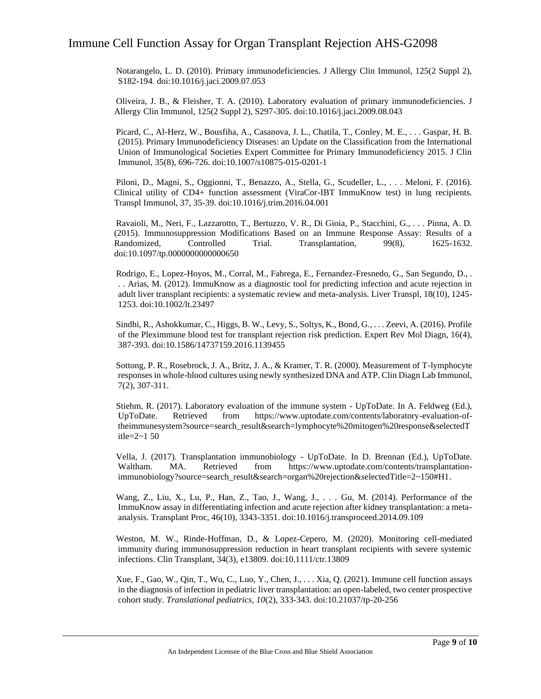Notarangelo, L. D. (2010). Primary immunodeficiencies. J Allergy Clin Immunol, 125(2 Suppl 2), S182-194. doi:10.1016/j.jaci.2009.07.053

Oliveira, J. B., & Fleisher, T. A. (2010). Laboratory evaluation of primary immunodeficiencies. J Allergy Clin Immunol, 125(2 Suppl 2), S297-305. doi:10.1016/j.jaci.2009.08.043

Picard, C., Al-Herz, W., Bousfiha, A., Casanova, J. L., Chatila, T., Conley, M. E., . . . Gaspar, H. B. (2015). Primary Immunodeficiency Diseases: an Update on the Classification from the International Union of Immunological Societies Expert Committee for Primary Immunodeficiency 2015. J Clin Immunol, 35(8), 696-726. doi:10.1007/s10875-015-0201-1

Piloni, D., Magni, S., Oggionni, T., Benazzo, A., Stella, G., Scudeller, L., . . . Meloni, F. (2016). Clinical utility of CD4+ function assessment (ViraCor-IBT ImmuKnow test) in lung recipients. Transpl Immunol, 37, 35-39. doi:10.1016/j.trim.2016.04.001

Ravaioli, M., Neri, F., Lazzarotto, T., Bertuzzo, V. R., Di Gioia, P., Stacchini, G., . . . Pinna, A. D. (2015). Immunosuppression Modifications Based on an Immune Response Assay: Results of a Randomized, Controlled Trial. Transplantation, 99(8), 1625-1632. doi:10.1097/tp.0000000000000650

Rodrigo, E., Lopez-Hoyos, M., Corral, M., Fabrega, E., Fernandez-Fresnedo, G., San Segundo, D., . . . Arias, M. (2012). ImmuKnow as a diagnostic tool for predicting infection and acute rejection in adult liver transplant recipients: a systematic review and meta-analysis. Liver Transpl, 18(10), 1245- 1253. doi:10.1002/lt.23497

Sindhi, R., Ashokkumar, C., Higgs, B. W., Levy, S., Soltys, K., Bond, G., . . . Zeevi, A. (2016). Profile of the Pleximmune blood test for transplant rejection risk prediction. Expert Rev Mol Diagn, 16(4), 387-393. doi:10.1586/14737159.2016.1139455

Sottong, P. R., Rosebrock, J. A., Britz, J. A., & Kramer, T. R. (2000). Measurement of T-lymphocyte responses in whole-blood cultures using newly synthesized DNA and ATP. Clin Diagn Lab Immunol, 7(2), 307-311.

Stiehm, R. (2017). Laboratory evaluation of the immune system - UpToDate. In A. Feldweg (Ed.), UpToDate. Retrieved from https://www.uptodate.com/contents/laboratory-evaluation-oftheimmunesystem?source=search\_result&search=lymphocyte%20mitogen%20response&selectedT itle=2~1 50

Vella, J. (2017). Transplantation immunobiology - UpToDate. In D. Brennan (Ed.), UpToDate. Waltham. MA. Retrieved from [https://www.uptodate.com/contents/transplantation](https://www.uptodate.com/contents/transplantation-immunobiology?source=search_result&search=organ%20rejection&selectedTitle=2~150#H1)[immunobiology?source=search\\_result&search=organ%20rejection&selectedTitle=2~150#H1.](https://www.uptodate.com/contents/transplantation-immunobiology?source=search_result&search=organ%20rejection&selectedTitle=2~150#H1)

Wang, Z., Liu, X., Lu, P., Han, Z., Tao, J., Wang, J., . . . Gu, M. (2014). Performance of the ImmuKnow assay in differentiating infection and acute rejection after kidney transplantation: a metaanalysis. Transplant Proc, 46(10), 3343-3351. doi:10.1016/j.transproceed.2014.09.109

Weston, M. W., Rinde-Hoffman, D., & Lopez-Cepero, M. (2020). Monitoring cell-mediated immunity during immunosuppression reduction in heart transplant recipients with severe systemic infections. Clin Transplant, 34(3), e13809. doi:10.1111/ctr.13809

Xue, F., Gao, W., Qin, T., Wu, C., Luo, Y., Chen, J., . . . Xia, Q. (2021). Immune cell function assays in the diagnosis of infection in pediatric liver transplantation: an open-labeled, two center prospective cohort study. *Translational pediatrics, 10*(2), 333-343. doi:10.21037/tp-20-256